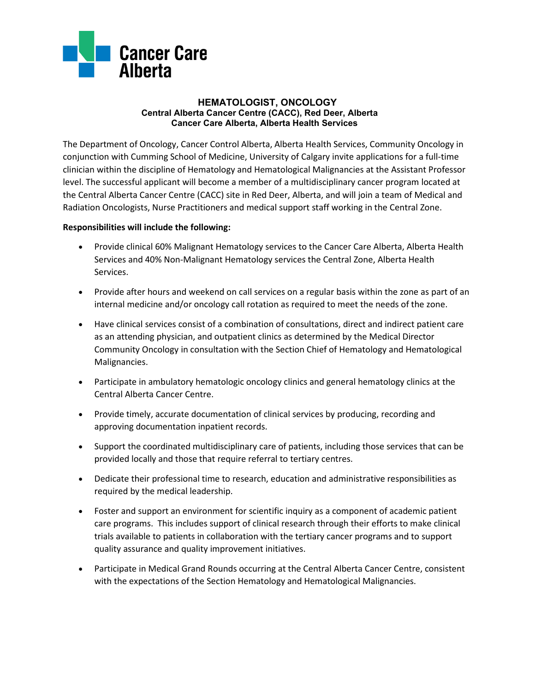

## **HEMATOLOGIST, ONCOLOGY Central Alberta Cancer Centre (CACC), Red Deer, Alberta Cancer Care Alberta, Alberta Health Services**

The Department of Oncology, Cancer Control Alberta, Alberta Health Services, Community Oncology in conjunction with Cumming School of Medicine, University of Calgary invite applications for a full-time clinician within the discipline of Hematology and Hematological Malignancies at the Assistant Professor level. The successful applicant will become a member of a multidisciplinary cancer program located at the Central Alberta Cancer Centre (CACC) site in Red Deer, Alberta, and will join a team of Medical and Radiation Oncologists, Nurse Practitioners and medical support staff working in the Central Zone.

## **Responsibilities will include the following:**

- Provide clinical 60% Malignant Hematology services to the Cancer Care Alberta, Alberta Health Services and 40% Non-Malignant Hematology services the Central Zone, Alberta Health Services.
- Provide after hours and weekend on call services on a regular basis within the zone as part of an internal medicine and/or oncology call rotation as required to meet the needs of the zone.
- Have clinical services consist of a combination of consultations, direct and indirect patient care as an attending physician, and outpatient clinics as determined by the Medical Director Community Oncology in consultation with the Section Chief of Hematology and Hematological Malignancies.
- Participate in ambulatory hematologic oncology clinics and general hematology clinics at the Central Alberta Cancer Centre.
- Provide timely, accurate documentation of clinical services by producing, recording and approving documentation inpatient records.
- Support the coordinated multidisciplinary care of patients, including those services that can be provided locally and those that require referral to tertiary centres.
- Dedicate their professional time to research, education and administrative responsibilities as required by the medical leadership.
- Foster and support an environment for scientific inquiry as a component of academic patient care programs. This includes support of clinical research through their efforts to make clinical trials available to patients in collaboration with the tertiary cancer programs and to support quality assurance and quality improvement initiatives.
- Participate in Medical Grand Rounds occurring at the Central Alberta Cancer Centre, consistent with the expectations of the Section Hematology and Hematological Malignancies.